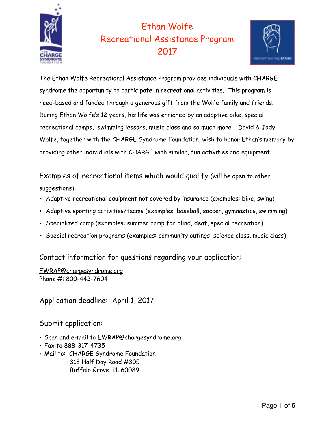

# Ethan Wolfe Recreational Assistance Program 2017



The Ethan Wolfe Recreational Assistance Program provides individuals with CHARGE syndrome the opportunity to participate in recreational activities. This program is need-based and funded through a generous gift from the Wolfe family and friends. During Ethan Wolfe's 12 years, his life was enriched by an adaptive bike, special recreational camps, swimming lessons, music class and so much more. David & Jody Wolfe, together with the CHARGE Syndrome Foundation, wish to honor Ethan's memory by providing other individuals with CHARGE with similar, fun activities and equipment.

Examples of recreational items which would qualify (will be open to other suggestions):

- Adaptive recreational equipment not covered by insurance (examples: bike, swing)
- Adaptive sporting activities/teams (examples: baseball, soccer, gymnastics, swimming)
- Specialized camp (examples: summer camp for blind, deaf, special recreation)
- Special recreation programs (examples: community outings, science class, music class)

Contact information for questions regarding your application:

[EWRAP@chargesyndrome.org](mailto:EWRAP@chargesyndrome.org) Phone #: 800-442-7604

Application deadline: April 1, 2017

Submit application:

- Scan and e-mail to [EWRAP@chargesyndrome.org](mailto:EWRAP@chargesyndrome.org)
- Fax to 888-317-4735
- Mail to: CHARGE Syndrome Foundation 318 Half Day Road #305 Buffalo Grove, IL 60089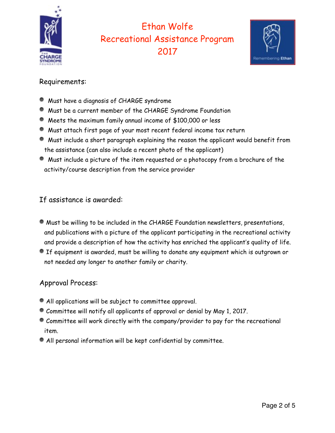

## Ethan Wolfe Recreational Assistance Program 2017



#### Requirements:

- Must have a diagnosis of CHARGE syndrome
- Must be a current member of the CHARGE Syndrome Foundation
- Meets the maximum family annual income of \$100,000 or less
- Must attach first page of your most recent federal income tax return
- Must include a short paragraph explaining the reason the applicant would benefit from the assistance (can also include a recent photo of the applicant)
- Must include a picture of the item requested or a photocopy from a brochure of the activity/course description from the service provider

### If assistance is awarded:

- Must be willing to be included in the CHARGE Foundation newsletters, presentations, and publications with a picture of the applicant participating in the recreational activity and provide a description of how the activity has enriched the applicant's quality of life.
- If equipment is awarded, must be willing to donate any equipment which is outgrown or not needed any longer to another family or charity.

#### Approval Process:

- All applications will be subject to committee approval.
- Committee will notify all applicants of approval or denial by May 1, 2017.
- Committee will work directly with the company/provider to pay for the recreational item.
- All personal information will be kept confidential by committee.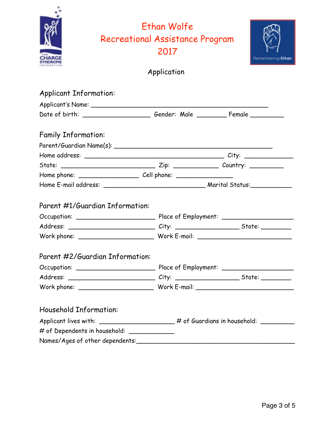|                               |                                                                                   | Ethan Wolfe<br><b>Recreational Assistance Program</b> |  |
|-------------------------------|-----------------------------------------------------------------------------------|-------------------------------------------------------|--|
|                               |                                                                                   |                                                       |  |
|                               |                                                                                   | 2017                                                  |  |
|                               |                                                                                   | Application                                           |  |
|                               |                                                                                   |                                                       |  |
| <b>Applicant Information:</b> |                                                                                   |                                                       |  |
|                               |                                                                                   |                                                       |  |
|                               | Date of birth: __________________________Gender: Male __________________________  |                                                       |  |
|                               |                                                                                   |                                                       |  |
| <b>Family Information:</b>    |                                                                                   |                                                       |  |
|                               |                                                                                   |                                                       |  |
|                               |                                                                                   |                                                       |  |
|                               |                                                                                   |                                                       |  |
|                               |                                                                                   |                                                       |  |
|                               |                                                                                   |                                                       |  |
|                               |                                                                                   |                                                       |  |
|                               | Parent #1/Guardian Information:                                                   |                                                       |  |
|                               |                                                                                   |                                                       |  |
|                               |                                                                                   |                                                       |  |
|                               |                                                                                   |                                                       |  |
|                               |                                                                                   |                                                       |  |
|                               | Parent #2/Guardian Information:                                                   |                                                       |  |
|                               |                                                                                   |                                                       |  |
|                               |                                                                                   |                                                       |  |
|                               |                                                                                   |                                                       |  |
|                               |                                                                                   |                                                       |  |
| <b>Household Information:</b> |                                                                                   |                                                       |  |
|                               | Applicant lives with: ______________________# of Guardians in household: ________ |                                                       |  |
|                               | # of Dependents in household: ______________                                      |                                                       |  |
|                               |                                                                                   |                                                       |  |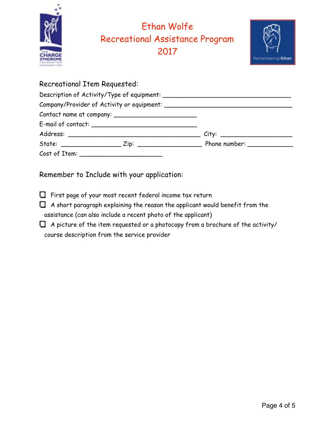

### Recreational Item Requested: Description of Activity/Type of equipment: \_\_\_\_\_\_\_\_\_\_\_\_\_\_\_\_\_\_\_\_\_\_\_\_\_\_\_\_\_\_\_\_\_\_ Company/Provider of Activity or equipment: \_\_\_\_\_\_\_\_\_\_\_\_\_\_\_\_\_\_\_\_\_\_\_\_\_\_\_\_\_\_\_\_\_\_ Contact name at company: \_\_\_\_\_\_\_\_\_\_\_\_\_\_\_\_\_\_\_\_\_\_ E-mail of contact: \_\_\_\_\_\_\_\_\_\_\_\_\_\_\_\_\_\_\_\_\_\_\_\_\_\_\_\_ Address: \_\_\_\_\_\_\_\_\_\_\_\_\_\_\_\_\_\_\_\_\_\_\_\_\_\_\_\_\_\_\_\_\_\_\_ City: \_\_\_\_\_\_\_\_\_\_\_\_\_\_\_\_\_\_\_

State: \_\_\_\_\_\_\_\_\_\_\_\_\_\_\_\_ Zip: \_\_\_\_\_\_\_\_\_\_\_\_\_\_\_\_\_ Phone number: \_\_\_\_\_\_\_\_\_\_\_\_

Cost of Item:

Remember to Include with your application:

- $\Box$  First page of your most recent federal income tax return
- $\Box$  A short paragraph explaining the reason the applicant would benefit from the assistance (can also include a recent photo of the applicant)
- $\Box$  A picture of the item requested or a photocopy from a brochure of the activity/ course description from the service provider